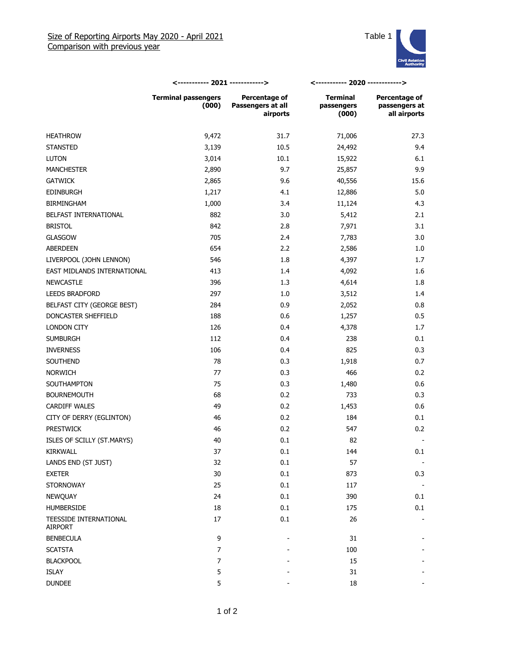

|                                   | <----------- 2021 ------------>     |                                                | <----------- 2020 ------------>        |                                                       |
|-----------------------------------|-------------------------------------|------------------------------------------------|----------------------------------------|-------------------------------------------------------|
|                                   | <b>Terminal passengers</b><br>(000) | Percentage of<br>Passengers at all<br>airports | <b>Terminal</b><br>passengers<br>(000) | <b>Percentage of</b><br>passengers at<br>all airports |
| <b>HEATHROW</b>                   | 9,472                               | 31.7                                           | 71,006                                 | 27.3                                                  |
| <b>STANSTED</b>                   | 3,139                               | 10.5                                           | 24,492                                 | 9.4                                                   |
| <b>LUTON</b>                      | 3,014                               | 10.1                                           | 15,922                                 | 6.1                                                   |
| <b>MANCHESTER</b>                 | 2,890                               | 9.7                                            | 25,857                                 | 9.9                                                   |
| <b>GATWICK</b>                    | 2,865                               | 9.6                                            | 40,556                                 | 15.6                                                  |
| <b>EDINBURGH</b>                  | 1,217                               | 4.1                                            | 12,886                                 | 5.0                                                   |
| <b>BIRMINGHAM</b>                 | 1,000                               | 3.4                                            | 11,124                                 | 4.3                                                   |
| BELFAST INTERNATIONAL             | 882                                 | 3.0                                            | 5,412                                  | 2.1                                                   |
| <b>BRISTOL</b>                    | 842                                 | 2.8                                            | 7,971                                  | 3.1                                                   |
| <b>GLASGOW</b>                    | 705                                 | 2.4                                            | 7,783                                  | 3.0                                                   |
| <b>ABERDEEN</b>                   | 654                                 | 2.2                                            | 2,586                                  | 1.0                                                   |
| LIVERPOOL (JOHN LENNON)           | 546                                 | 1.8                                            | 4,397                                  | 1.7                                                   |
| EAST MIDLANDS INTERNATIONAL       | 413                                 | 1.4                                            | 4,092                                  | 1.6                                                   |
| <b>NEWCASTLE</b>                  | 396                                 | 1.3                                            | 4,614                                  | 1.8                                                   |
| <b>LEEDS BRADFORD</b>             | 297                                 | 1.0                                            | 3,512                                  | 1.4                                                   |
| BELFAST CITY (GEORGE BEST)        | 284                                 | 0.9                                            | 2,052                                  | 0.8                                                   |
| DONCASTER SHEFFIELD               | 188                                 | 0.6                                            | 1,257                                  | 0.5                                                   |
| LONDON CITY                       | 126                                 | 0.4                                            | 4,378                                  | 1.7                                                   |
| <b>SUMBURGH</b>                   | 112                                 | 0.4                                            | 238                                    | 0.1                                                   |
| <b>INVERNESS</b>                  | 106                                 | 0.4                                            | 825                                    | 0.3                                                   |
| SOUTHEND                          | 78                                  | 0.3                                            | 1,918                                  | 0.7                                                   |
| NORWICH                           | 77                                  | 0.3                                            | 466                                    | 0.2                                                   |
| SOUTHAMPTON                       | 75                                  | 0.3                                            | 1,480                                  | 0.6                                                   |
| <b>BOURNEMOUTH</b>                | 68                                  | 0.2                                            | 733                                    | 0.3                                                   |
| <b>CARDIFF WALES</b>              | 49                                  | 0.2                                            | 1,453                                  | 0.6                                                   |
| CITY OF DERRY (EGLINTON)          | 46                                  | 0.2                                            | 184                                    | 0.1                                                   |
| <b>PRESTWICK</b>                  | 46                                  | 0.2                                            | 547                                    | 0.2                                                   |
| ISLES OF SCILLY (ST.MARYS)        | 40                                  | 0.1                                            | 82                                     |                                                       |
| KIRKWALL                          | 37                                  | 0.1                                            | 144                                    | 0.1                                                   |
| LANDS END (ST JUST)               | 32                                  | 0.1                                            | 57                                     |                                                       |
| <b>EXETER</b>                     | 30                                  | 0.1                                            | 873                                    | 0.3                                                   |
| <b>STORNOWAY</b>                  | 25                                  | 0.1                                            | 117                                    |                                                       |
| NEWQUAY                           | 24                                  | 0.1                                            | 390                                    | 0.1                                                   |
| <b>HUMBERSIDE</b>                 | 18                                  | 0.1                                            | 175                                    | 0.1                                                   |
| TEESSIDE INTERNATIONAL<br>AIRPORT | 17                                  | 0.1                                            | 26                                     |                                                       |
| <b>BENBECULA</b>                  | 9                                   |                                                | 31                                     |                                                       |
| <b>SCATSTA</b>                    | $\overline{7}$                      |                                                | 100                                    |                                                       |
| <b>BLACKPOOL</b>                  | 7                                   |                                                | 15                                     |                                                       |
| ISLAY                             | 5                                   |                                                | 31                                     |                                                       |
| <b>DUNDEE</b>                     | 5                                   |                                                | 18                                     |                                                       |